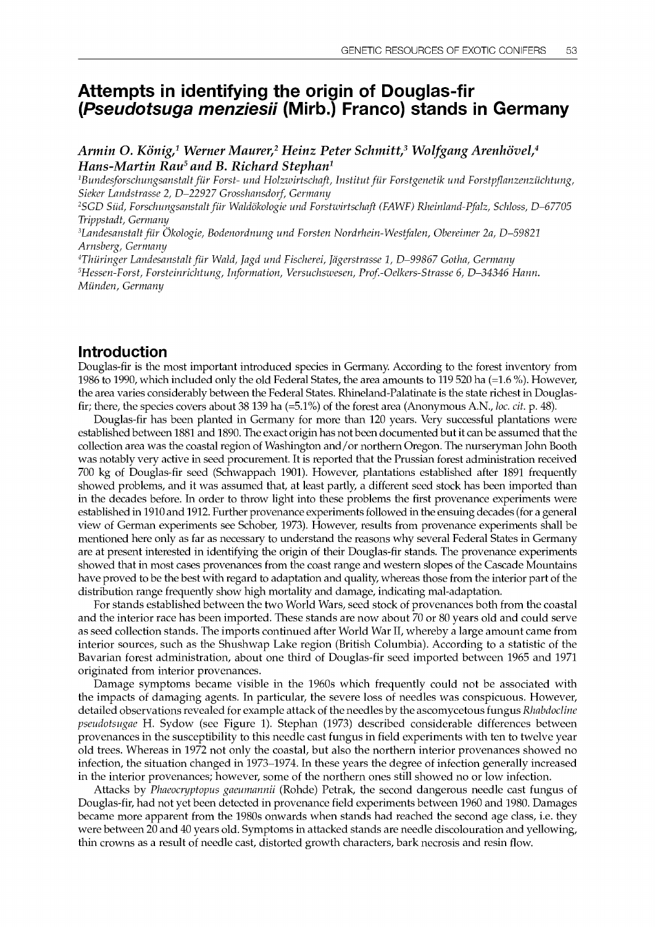# Attempts in identifying the origin of Douglas-fir (Pseudotsuga menziesii (Mirb.) Franco) stands in Germany

Armin O. König,<sup>1</sup> Werner Maurer,<sup>2</sup> Heinz Peter Schmitt,<sup>3</sup> Wolfgang Arenhövel,<sup>4</sup> Hans-Martin Rau<sup>5</sup> and B. Richard Stephan<sup>1</sup>

<sup>1</sup>Bundesforschungsanstalt für Forst- und Holzwirtschaft, Institut für Forstgenetik und Forstpflanzenzüchtung, Sicker Landstrasse 2, D-22927 Grosshansdorf, Germany

2SGD Slid, Forschungsanstalt fur Waldokologie und Forstwirtschaft (FAWF) Rheinland-Pfalz, Schloss, D-67705 Trippstadt, Germany

<sup>3</sup>Landesanstalt für Ökologie, Bodenordnung und Forsten Nordrhein-Westfalen, Obereimer 2a, D-59821 Arnsberg, Germany

<sup>4</sup>Thüringer Landesanstalt für Wald, Jagd und Fischerei, Jägerstrasse 1, D-99867 Gotha, Germany 5Hessen-Forst, Forsteinrichtung, Information, Versuchswesen, Prof.-Oelkers-Strasse 6, D-34346 Hann. Miinden, Germany

### Introduction

Douglas-fir is the most important introduced species in Germany. According to the forest inventory from 1986 to 1990, which included only the old Federal States, the area amounts to 119 520 ha (=1.6 %). However, the area varies considerably between the Federal States. Rhineland-Palatinate is the state richest in Douglasfir; there, the species covers about 38 139 ha (=5.1%) of the forest area (Anonymous A.N., loc. cit. p. 48).

Douglas-fir has been planted in Germany for more than 120 years. Very successful plantations were established between 1881 and 1890. The exact origin has not been documented but it can be assumed that the collection area was the coastal region of Washington and/or northern Oregon. The nurseryman John Booth was notably very active in seed procurement. It is reported that the Prussian forest administration received 700 kg of Douglas-fir seed (Schwappach 1901). However, plantations established after 1891 frequently showed problems, and it was assumed that, at least partly, a different seed stock has been imported than in the decades before. In order to throw light into these problems the first provenance experiments were established in 1910 and 1912. Further provenance experiments followed in the ensuing decades (for a general view of German experiments see Schober, 1973). However, results from provenance experiments shall be mentioned here only as far as necessary to understand the reasons why several Federal States in Germany are at present interested in identifying the origin of their Douglas-fir stands. The provenance experiments showed that in most cases provenances from the coast range and western slopes of the Cascade Mountains have proved to be the best with regard to adaptation and quality, whereas those from the interior part of the distribution range frequently show high mortality and damage, indicating mal-adaptation.

For stands established between the two World Wars, seed stock of provenances both from the coastal and the interior race has been imported. These stands are now about 70 or 80 years old and could serve as seed collection stands. The imports continued after World War II, whereby a large amount came from interior sources, such as the Shushwap Lake region (British Columbia). According to a statistic of the Bavarian forest administration, about one third of Douglas-fir seed imported between 1965 and 1971 originated from interior provenances.

Damage symptoms became visible in the 1960s which frequently could not be associated with the impacts of damaging agents. In particular, the severe loss of needles was conspicuous. However, detailed observations revealed for example attack of the needles by the ascomycetous fungus Rhabdocline pseudotsugae H. Sydow (see Figure 1). Stephan (1973) described considerable differences between provenances in the susceptibility to this needle cast fungus in field experiments with ten to twelve year old trees. Whereas in 1972 not only the coastal, but also the northern interior provenances showed no infection, the situation changed in 1973-1974. In these years the degree of infection generally increased in the interior provenances; however, some of the northern ones still showed no or low infection.

Attacks by Phaeocryptopus gaeumannii (Rohde) Petrak, the second dangerous needle cast fungus of Douglas-fir, had not yet been detected in provenance field experiments between 1960 and 1980. Damages became more apparent from the 1980s onwards when stands had reached the second age class, i.e. they were between 20 and 40 years old. Symptoms in attacked stands are needle discolouration and yellowing, thin crowns as a result of needle cast, distorted growth characters, bark necrosis and resin flow.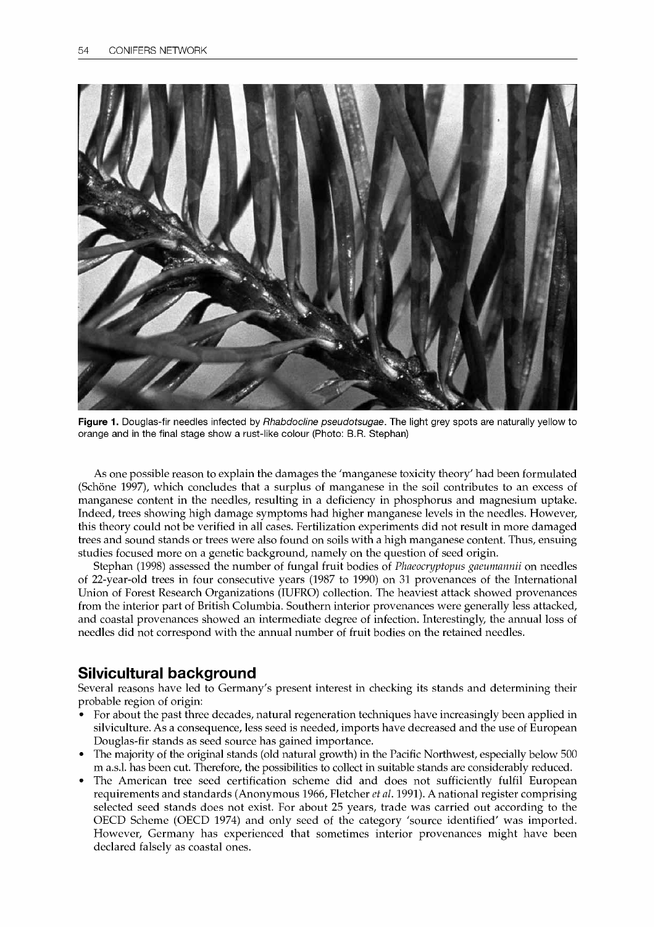

Figure 1. Douglas-fir needles infected by Rhabdocline pseudotsugae. The light grey spots are naturally yellow to orange and in the final stage show a rust-like colour (Photo: B.R. Stephan)

As one possible reason to explain the damages the 'manganese toxicity theory' had been formulated (Schöne 1997), which concludes that a surplus of manganese in the soil contributes to an excess of manganese content in the needles, resulting in a deficiency in phosphorus and magnesium uptake. Indeed, trees showing high damage symptoms had higher manganese levels in the needles. However, this theory could not be verified in all cases. Fertilization experiments did not result in more damaged trees and sound stands or trees were also found on soils with a high manganese content. Thus, ensuing studies focused more on a genetic background, namely on the question of seed origin.

Stephan (1998) assessed the number of fungal fruit bodies of Phaeocryptopus gaeumannii on needles of 22-year-old trees in four consecutive years (1987 to 1990) on 31 provenances of the International Union of Forest Research Organizations (IUFRO) collection. The heaviest attack showed provenances from the interior part of British Columbia. Southern interior provenances were generally less attacked, and coastal provenances showed an intermediate degree of infection. Interestingly, the annual loss of needles did not correspond with the annual number of fruit bodies on the retained needles.

## Silvicultural background

Several reasons have led to Germany's present interest in checking its stands and determining their probable region of origin:

- For about the past three decades, natural regeneration techniques have increasingly been applied in silviculture. As a consequence, less seed is needed, imports have decreased and the use of European Douglas-fir stands as seed source has gained importance.
- The majority of the original stands (old natural growth) in the Pacific Northwest, especially below 500 m a.s.l. has been cut. Therefore, the possibilities to collect in suitable stands are considerably reduced.
- The American tree seed certification scheme did and does not sufficiently fulfil European requirements and standards (Anonymous 1966, Fletcher *et al.* 1991). A national register comprising selected seed stands does not exist. For about 25 years, trade was carried out according to the OECD Scheme (OECD 1974) and only seed of the category 'source identified' was imported. However, Germany has experienced that sometimes interior provenances might have been declared falsely as coastal ones.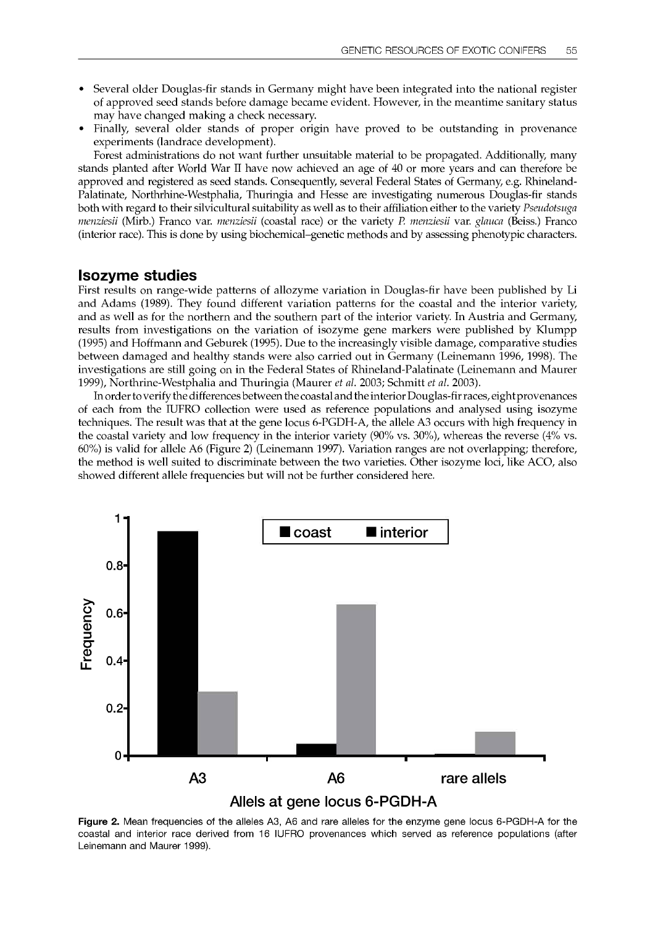- Several older Douglas-fir stands in Germany might have been integrated into the national register of approved seed stands before damage became evident. However, in the meantime sanitary status may have changed making a check necessary.
- Finally, several older stands of proper origin have proved to be outstanding in provenance experiments (landrace development).

Forest administrations do not want further unsuitable material to be propagated. Additionally, many stands planted after World War II have now achieved an age of 40 or more years and can therefore be approved and registered as seed stands. Consequently, several Federal States of Germany, e.g. Rhineland-Palatinate, Northrhine-Westphalia, Thuringia and Hesse are investigating numerous Douglas-fir stands both with regard to their silvicultural suitability as well as to their affiliation either to the variety Pseudotsuga menziesii (Mirb.) Franco var. menziesii (coastal race) or the variety P. menziesii var. glauca (Beiss.) Franco (interior race). This is done by using biochemical-genetic methods and by assessing phenotypic characters.

#### Isozyme studies

First results on range-wide patterns of allozyme variation in Douglas-fir have been published by Li and Adams (1989). They found different variation patterns for the coastal and the interior variety, and as well as for the northern and the southern part of the interior variety. In Austria and Germany, results from investigations on the variation of isozyme gene markers were published by Klumpp (1995) and Hoffmann and Geburek (1995). Due to the increasingly visible damage, comparative studies between damaged and healthy stands were also carried out in Germany (Leinemann 1996, 1998). The investigations are still going on in the Federal States of Rhineland-Palatinate (Leinemann and Maurer 1999), Northrine-Westphalia and Thuringia (Maurer et al. 2003; Schmitt et al. 2003).

In order to verify the differences between the coastal and the interior Douglas-fir races, eight provenances of each from the IUFRO collection were used as reference populations and analysed using isozyme techniques. The result was that at the gene locus 6-PGDH-A, the allele A3 occurs with high frequency in the coastal variety and low frequency in the interior variety (90% vs. 30%), whereas the reverse (4% vs. 60%) is valid for allele A6 (Figure 2) (Leinemann 1997). Variation ranges are not overlapping; therefore, the method is well suited to discriminate between the two varieties. Other isozyme loci, like ACO, also showed different allele frequencies but will not be further considered here.



Figure 2. Mean frequencies of the alleles A3, A6 and rare alleles for the enzyme gene locus 6-PGDH-A for the coastal and interior race derived from 16 IUFRO provenances which served as reference populations (after Leinemann and Maurer 1999).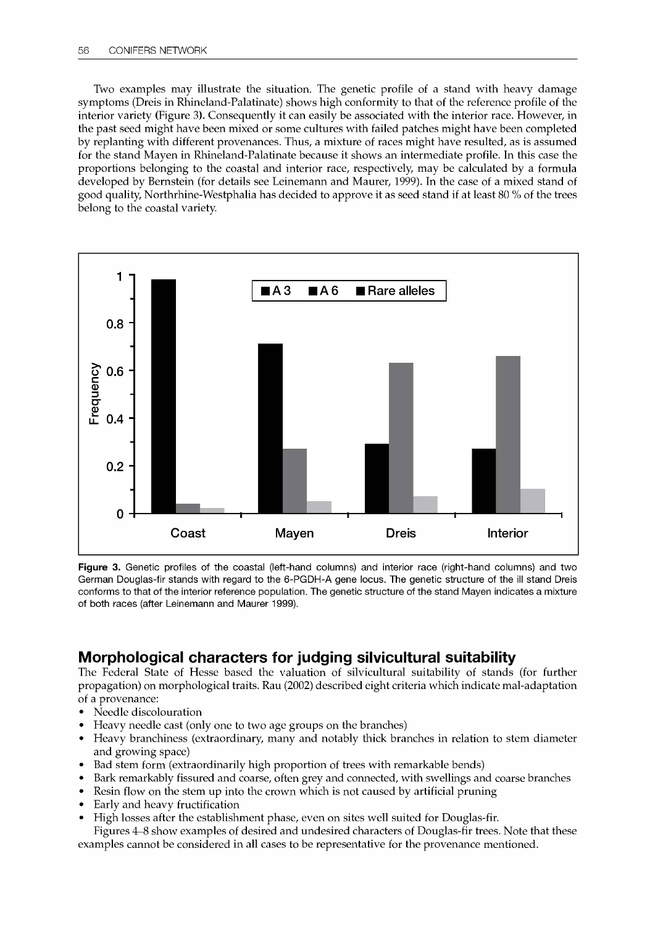Two examples may illustrate the situation. The genetic profile of a stand with heavy damage symptoms (Dreis in Rhineland-Palatinate) shows high conformity to that of the reference profile of the interior variety (Figure 3). Consequently it can easily be associated with the interior race. However, in the past seed might have been mixed or some cultures with failed patches might have been completed by replanting with different provenances. Thus, a mixture of races might have resulted, as is assumed for the stand Mayen in Rhineland-Palatinate because it shows an intermediate profile. In this case the proportions belonging to the coastal and interior race, respectively, may be calculated by a formula developed by Bernstein (for details see Leinemann and Maurer, 1999). In the case of a mixed stand of good quality, Northrhine-Westphalia has decided to approve it as seed stand if at least 80 % of the trees belong to the coastal variety.



Figure 3. Genetic profiles of the coastal (left-hand columns) and interior race (right-hand columns) and two German Douglas-fir stands with regard to the 6-PGDH-A gene locus. The genetic structure of the ill stand Dreis conforms to that of the interior reference population. The genetic structure of the stand Mayen indicates a mixture of both races (after Leinemann and Maurer 1999).

# Morphological characters for judging silvicultural suitability

The Federal State of Hesse based the valuation of silvicultural suitability of stands (for further propagation) on morphological traits. Rau (2002) described eight criteria which indicate mal-adaptation of a provenance:

- Needle discolouration
- Heavy needle cast (only one to two age groups on the branches)
- Heavy branchiness (extraordinary, many and notably thick branches in relation to stem diameter and growing space)
- Bad stem form (extraordinarily high proportion of trees with remarkable bends)
- Bark remarkably fissured and coarse, often grey and connected, with swellings and coarse branches
- Resin flow on the stem up into the crown which is not caused by artificial pruning
- Early and heavy fructification
- $\bullet$ High losses after the establishment phase, even on sites well suited for Douglas-fir.

Figures 4-8 show examples of desired and undesired characters of Douglas-fir trees. Note that these examples cannot be considered in all cases to be representative for the provenance mentioned.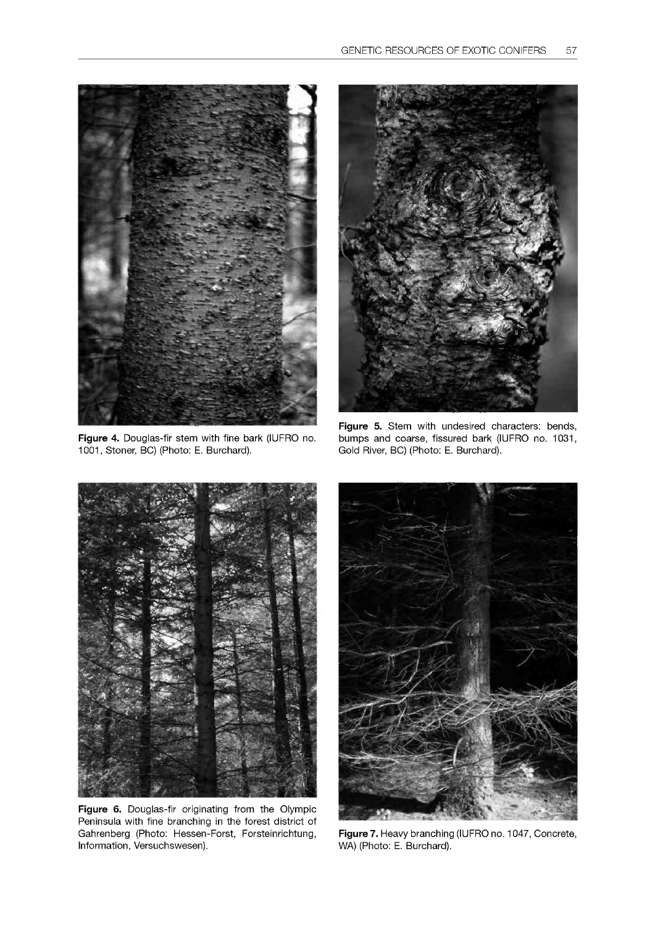

Figure 4. Douglas-fir stem with fine bark (IUFRO no. 1001, Stoner, BC) (Photo: E. Burchard).



Figure 5. Stem with undesired characters: bends, bumps and coarse, fissured bark (IUFRO no. 1031, Gold River, BC) (Photo: E. Burchard).



Figure 6. Douglas-fir originating from the Olympic Peninsula with fine branching in the forest district of Gahrenberg (Photo: Hessen-Forst, Forsteinrichtung, Information, Versuchswesen).



Figure 7. Heavy branching (IUFRO no. 1047, Concrete, WA) (Photo: E. Burchard).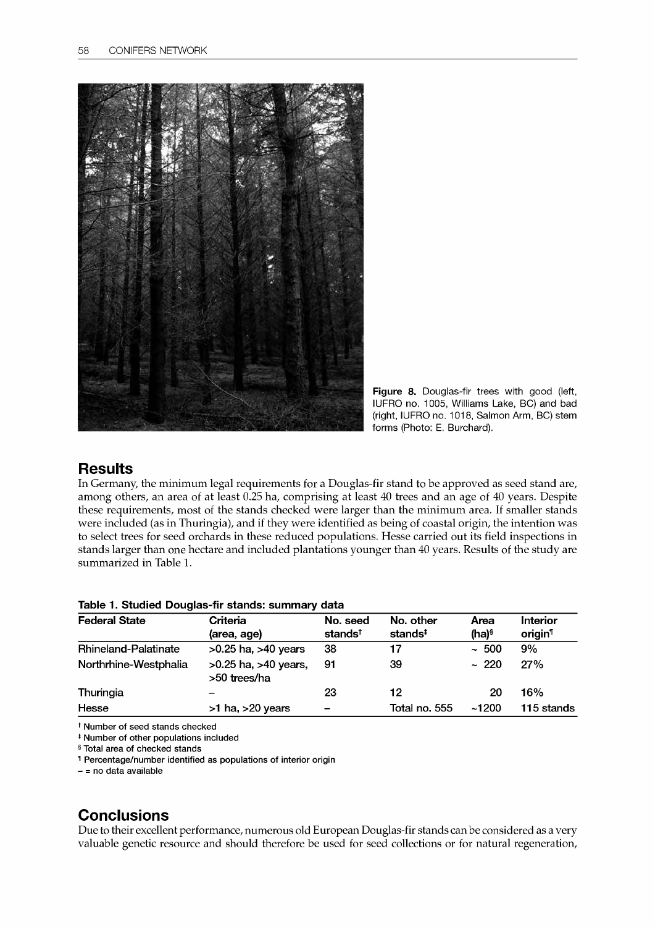

Figure 8. Douglas-fir trees with good (left, IUFRO no. 1005, Williams Lake, BC) and bad (right, IUFRO no. 1018, Salmon Arm, BC) stem forms (Photo: E. Burchard).

## **Results**

In Germany, the minimum legal requirements for a Douglas-fir stand to be approved as seed stand are, among others, an area of at least 0.25 ha, comprising at least 40 trees and an age of 40 years. Despite these requirements, most of the stands checked were larger than the minimum area. If smaller stands were included (as in Thuringia), and if they were identified as being of coastal origin, the intention was to select trees for seed orchards in these reduced populations. Hesse carried out its field inspections in stands larger than one hectare and included plantations younger than 40 years. Results of the study are summarized in Table 1.

| <b>Federal State</b>        | Criteria                                 | No. seed            | No. other           | Area                | Interior            |
|-----------------------------|------------------------------------------|---------------------|---------------------|---------------------|---------------------|
|                             | (area, age)                              | stands <sup>t</sup> | stands <sup>‡</sup> | $(ha)$ <sup>§</sup> | origin <sup>1</sup> |
| <b>Rhineland-Palatinate</b> | $>0.25$ ha, $>40$ years                  | 38                  | 17                  | ~100                | 9%                  |
| Northrhine-Westphalia       | $>0.25$ ha, $>40$ years,<br>>50 trees/ha | 91                  | 39                  | ~220                | 27%                 |
| Thuringia                   | $\overline{\phantom{a}}$                 | 23                  | 12                  | 20                  | 16%                 |
| Hesse                       | $>1$ ha, $>20$ years                     |                     | Total no. 555       | ~1200               | 115 stands          |

#### Table 1. Studied Douglas-fir stands: summary data

t Number of seed stands checked

t Number of other populations included

§ Total area of checked stands

t Percentage/number identified as populations of interior origin

-= no data available

# **Conclusions**

Due to their excellent performance, numerous old European Douglas-fir stands can be considered as a very valuable genetic resource and should therefore be used for seed collections or for natural regeneration,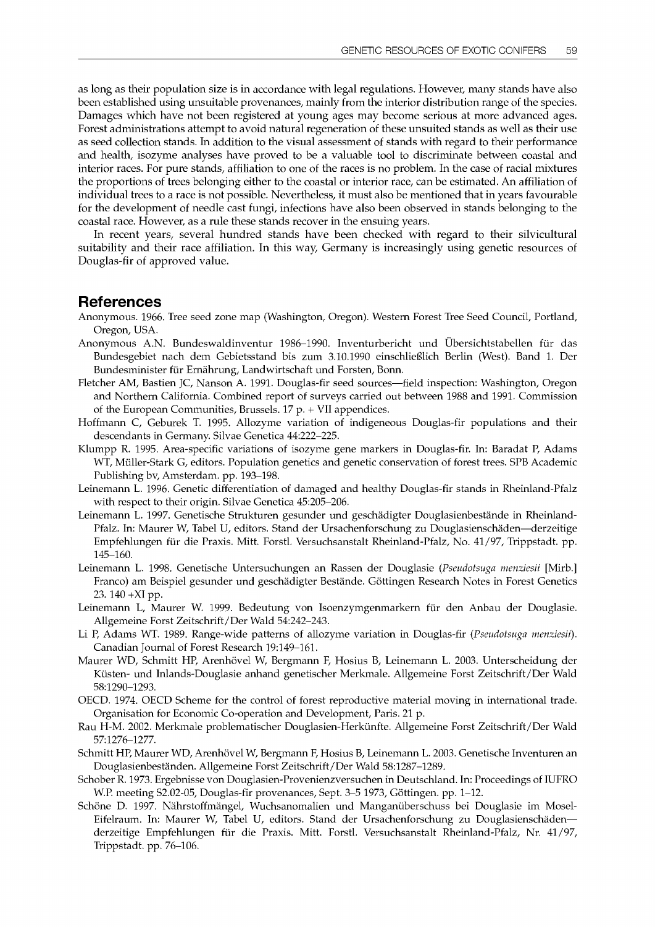as long as their population size is in accordance with legal regulations. However, many stands have also been established using unsuitable provenances, mainly from the interior distribution range of the species. Damages which have not been registered at young ages may become serious at more advanced ages. Forest administrations attempt to avoid natural regeneration of these unsuited stands as well as their use as seed collection stands. In addition to the visual assessment of stands with regard to their performance and health, isozyme analyses have proved to be a valuable tool to discriminate between coastal and interior races. For pure stands, affiliation to one of the races is no problem. In the case of racial mixtures the proportions of trees belonging either to the coastal or interior race, can be estimated. An affiliation of individual trees to a race is not possible. Nevertheless, it must also be mentioned that in years favourable for the development of needle cast fungi, infections have also been observed in stands belonging to the coastal race. However, as a rule these stands recover in the ensuing years.

In recent years, several hundred stands have been checked with regard to their silvicultural suitability and their race affiliation. In this way, Germany is increasingly using genetic resources of Douglas-fir of approved value.

### References

- Anonymous. 1966. Tree seed zone map (Washington, Oregon). Western Forest Tree Seed Council, Portland, Oregon, USA.
- Anonymous A.N. Bundeswaldinventur 1986–1990. Inventurbericht und Übersichtstabellen für das Bundesgebiet nach dem Gebietsstand bis zum 3.10.1990 einschliefglich Berlin (West). Band 1. Der Bundesminister für Ernährung, Landwirtschaft und Forsten, Bonn.
- Fletcher AM, Bastien JC, Nanson A. 1991. Douglas-fir seed sources-field inspection: Washington, Oregon and Northern California. Combined report of surveys carried out between 1988 and 1991. Commission of the European Communities, Brussels. 17 p. + VII appendices.
- Hoffmann C, Geburek T. 1995. Allozyme variation of indigeneous Douglas-fir populations and their descendants in Germany. Silvae Genetica 44:222-225.
- Klumpp R. 1995. Area-specific variations of isozyme gene markers in Douglas-fir. In: Baradat P, Adams WT, Müller-Stark G, editors. Population genetics and genetic conservation of forest trees. SPB Academic Publishing by, Amsterdam. pp. 193-198.
- Leinemann L. 1996. Genetic differentiation of damaged and healthy Douglas-fir stands in Rheinland-Pfalz with respect to their origin. Silvae Genetica 45:205-206.
- Leinemann L. 1997. Genetische Strukturen gesunder und geschädigter Douglasienbestände in Rheinland-Pfalz. In: Maurer W, Tabel U, editors. Stand der Ursachenforschung zu Douglasienschäden-derzeitige Empfehlungen für die Praxis. Mitt. Forstl. Versuchsanstalt Rheinland-Pfalz, No. 41/97, Trippstadt. pp. 145-160.
- Leinemann L. 1998. Genetische Untersuchungen an Rassen der Douglasie (Pseudotsuga menziesii [Mirb.] Franco) am Beispiel gesunder und geschadigter Bestande. Gottingen Research Notes in Forest Genetics 23. 140 +XI pp.
- Leinemann L, Maurer W. 1999. Bedeutung von Isoenzymgenmarkern für den Anbau der Douglasie. Allgemeine Forst Zeitschrift/Der Wald 54:242-243.
- Li P, Adams WT. 1989. Range-wide patterns of allozyme variation in Douglas-fir (Pseudotsuga menziesii). Canadian Journal of Forest Research 19:149-161.
- Maurer WD, Schmitt HP, Arenhövel W, Bergmann F, Hosius B, Leinemann L. 2003. Unterscheidung der Küsten- und Inlands-Douglasie anhand genetischer Merkmale. Allgemeine Forst Zeitschrift/Der Wald 58:1290-1293.
- OECD. 1974. OECD Scheme for the control of forest reproductive material moving in international trade. Organisation for Economic Co-operation and Development, Paris. 21 p.
- Rau H-M. 2002. Merkmale problematischer Douglasien-Herkanfte. Allgemeine Forst Zeitschrift/Der Wald 57:1276-1277.
- Schmitt HP, Maurer WD, Arenhövel W, Bergmann F, Hosius B, Leinemann L. 2003. Genetische Inventuren an Douglasienbestanden. Allgemeine Forst Zeitschrift/Der Wald 58:1287-1289.
- Schober R. 1973. Ergebnisse von Douglasien-Provenienzversuchen in Deutschland. In: Proceedings of IUFRO W.P. meeting S2.02-05, Douglas-fir provenances, Sept. 3-5 1973, Göttingen. pp. 1-12.
- Schöne D. 1997. Nährstoffmängel, Wuchsanomalien und Manganüberschuss bei Douglasie im Mosel-Eifelraum. In: Maurer W, Tabel U, editors. Stand der Ursachenforschung zu Douglasienschadenderzeitige Empfehlungen für die Praxis. Mitt. Forstl. Versuchsanstalt Rheinland-Pfalz, Nr. 41/97, Trippstadt. pp. 76-106.